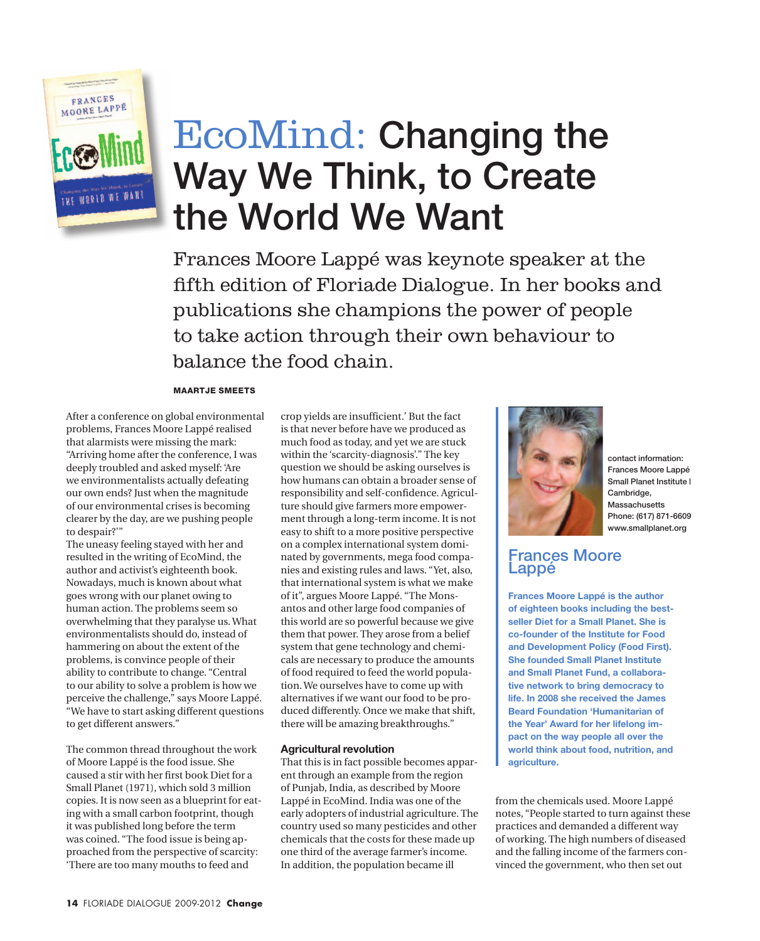

# EcoMind: Changing the Way We Think, to Create the World We Want

Frances Moore Lappé was keynote speaker at the fifth edition of Floriade Dialogue. In her books and publications she champions the power of people to take action through their own behaviour to balance the food chain.

#### Maartje Smeets

After a conference on global environmental problems, Frances Moore Lappé realised that alarmists were missing the mark: "Arriving home after the conference, I was deeply troubled and asked myself: 'Are we environmentalists actually defeating our own ends? Just when the magnitude of our environmental crises is becoming clearer by the day, are we pushing people to despair?'"

The uneasy feeling stayed with her and resulted in the writing of EcoMind, the author and activist's eighteenth book. Nowadays, much is known about what goes wrong with our planet owing to human action. The problems seem so overwhelming that they paralyse us. What environmentalists should do, instead of hammering on about the extent of the problems, is convince people of their ability to contribute to change. "Central to our ability to solve a problem is how we perceive the challenge," says Moore Lappé. "We have to start asking different questions to get different answers."

The common thread throughout the work of Moore Lappé is the food issue. She caused a stir with her first book Diet for a Small Planet (1971), which sold 3 million copies. It is now seen as a blueprint for eating with a small carbon footprint, though it was published long before the term was coined. "The food issue is being approached from the perspective of scarcity: 'There are too many mouths to feed and

crop yields are insufficient.' But the fact is that never before have we produced as much food as today, and yet we are stuck within the 'scarcity-diagnosis'." The key question we should be asking ourselves is how humans can obtain a broader sense of responsibility and self-confidence. Agriculture should give farmers more empowerment through a long-term income. It is not easy to shift to a more positive perspective on a complex international system dominated by governments, mega food companies and existing rules and laws. "Yet, also, that international system is what we make of it", argues Moore Lappé. "The Monsantos and other large food companies of this world are so powerful because we give them that power. They arose from a belief system that gene technology and chemicals are necessary to produce the amounts of food required to feed the world population. We ourselves have to come up with alternatives if we want our food to be produced differently. Once we make that shift, there will be amazing breakthroughs."

#### **Agricultural revolution**

That this is in fact possible becomes apparent through an example from the region of Punjab, India, as described by Moore Lappé in EcoMind. India was one of the early adopters of industrial agriculture. The country used so many pesticides and other chemicals that the costs for these made up one third of the average farmer's income. In addition, the population became ill



contact information: Frances Moore Lappé Small Planet Institute | Cambridge, Massachusetts Phone: (617) 871-6609 www.smallplanet.org

### Frances Moore Lappé

**Frances Moore Lappé is the author of eighteen books including the bestseller Diet for a Small Planet. She is co-founder of the Institute for Food and Development Policy (Food First). She founded Small Planet Institute and Small Planet Fund, a collaborative network to bring democracy to life. In 2008 she received the James Beard Foundation 'Humanitarian of the Year' Award for her lifelong impact on the way people all over the world think about food, nutrition, and agriculture.**

from the chemicals used. Moore Lappé notes, "People started to turn against these practices and demanded a different way of working. The high numbers of diseased and the falling income of the farmers convinced the government, who then set out